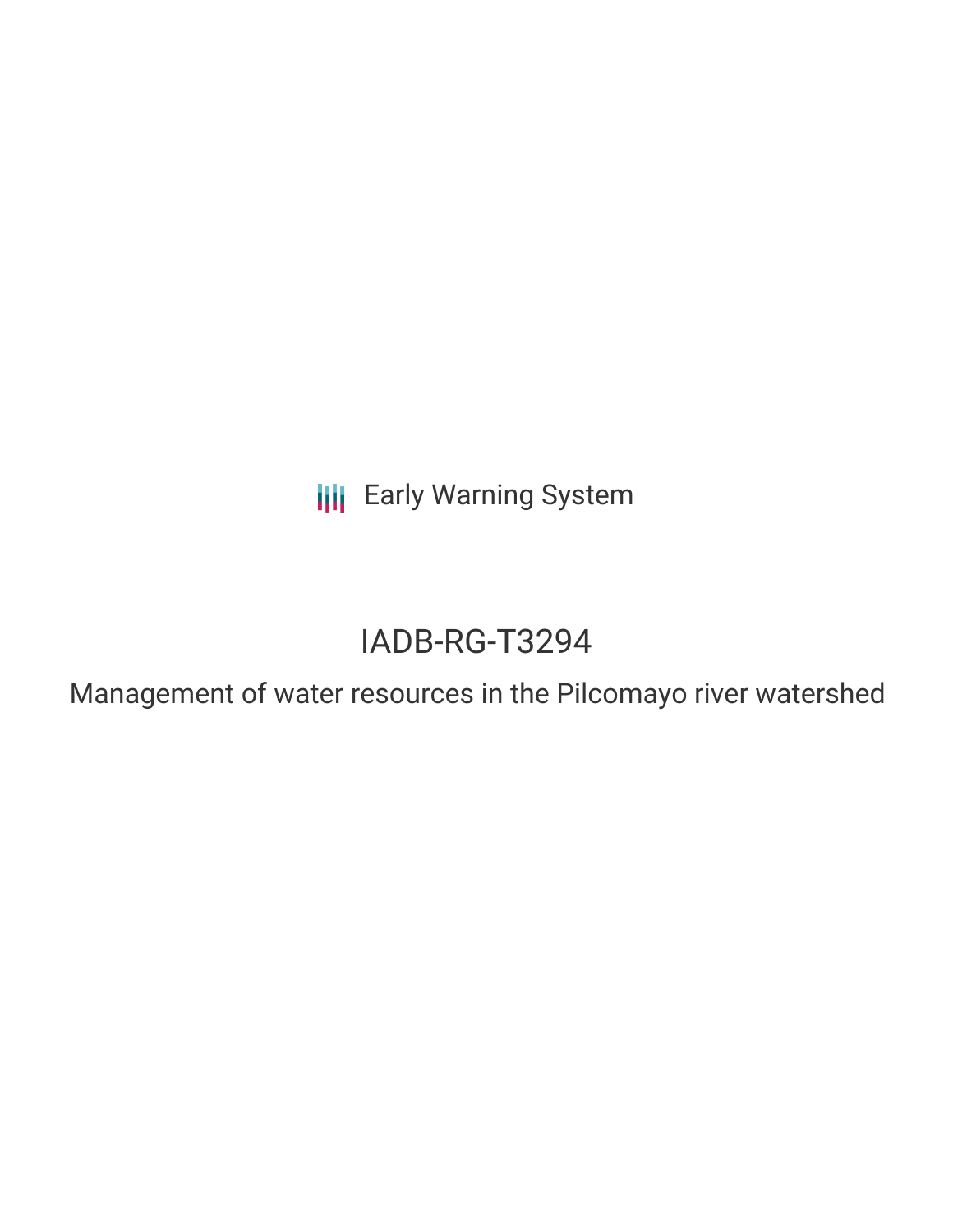**III** Early Warning System

# IADB-RG-T3294

Management of water resources in the Pilcomayo river watershed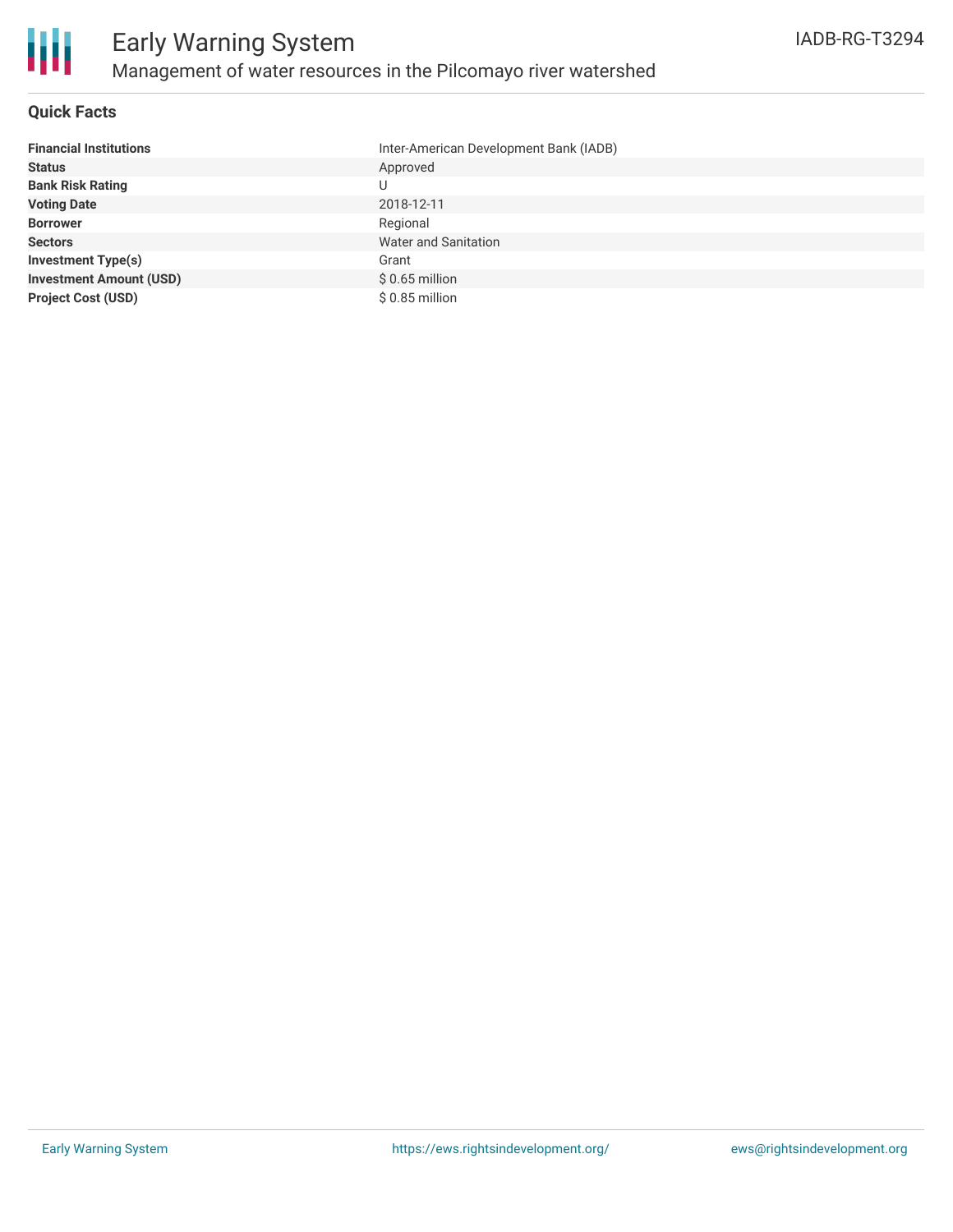

#### **Quick Facts**

| <b>Financial Institutions</b>  | Inter-American Development Bank (IADB) |
|--------------------------------|----------------------------------------|
| <b>Status</b>                  | Approved                               |
| <b>Bank Risk Rating</b>        | U                                      |
| <b>Voting Date</b>             | 2018-12-11                             |
| <b>Borrower</b>                | Regional                               |
| <b>Sectors</b>                 | Water and Sanitation                   |
| <b>Investment Type(s)</b>      | Grant                                  |
| <b>Investment Amount (USD)</b> | $$0.65$ million                        |
| <b>Project Cost (USD)</b>      | $$0.85$ million                        |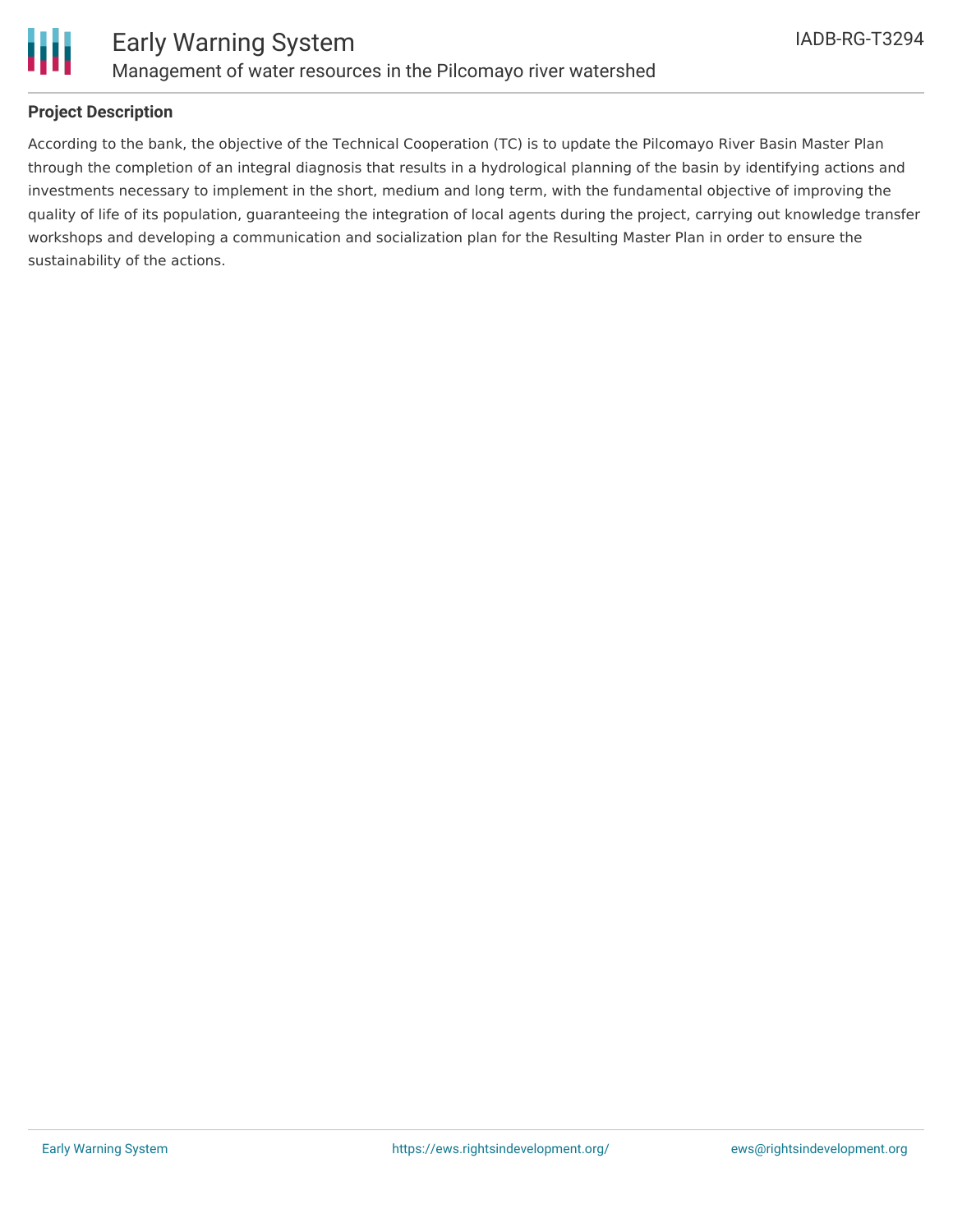

#### **Project Description**

According to the bank, the objective of the Technical Cooperation (TC) is to update the Pilcomayo River Basin Master Plan through the completion of an integral diagnosis that results in a hydrological planning of the basin by identifying actions and investments necessary to implement in the short, medium and long term, with the fundamental objective of improving the quality of life of its population, guaranteeing the integration of local agents during the project, carrying out knowledge transfer workshops and developing a communication and socialization plan for the Resulting Master Plan in order to ensure the sustainability of the actions.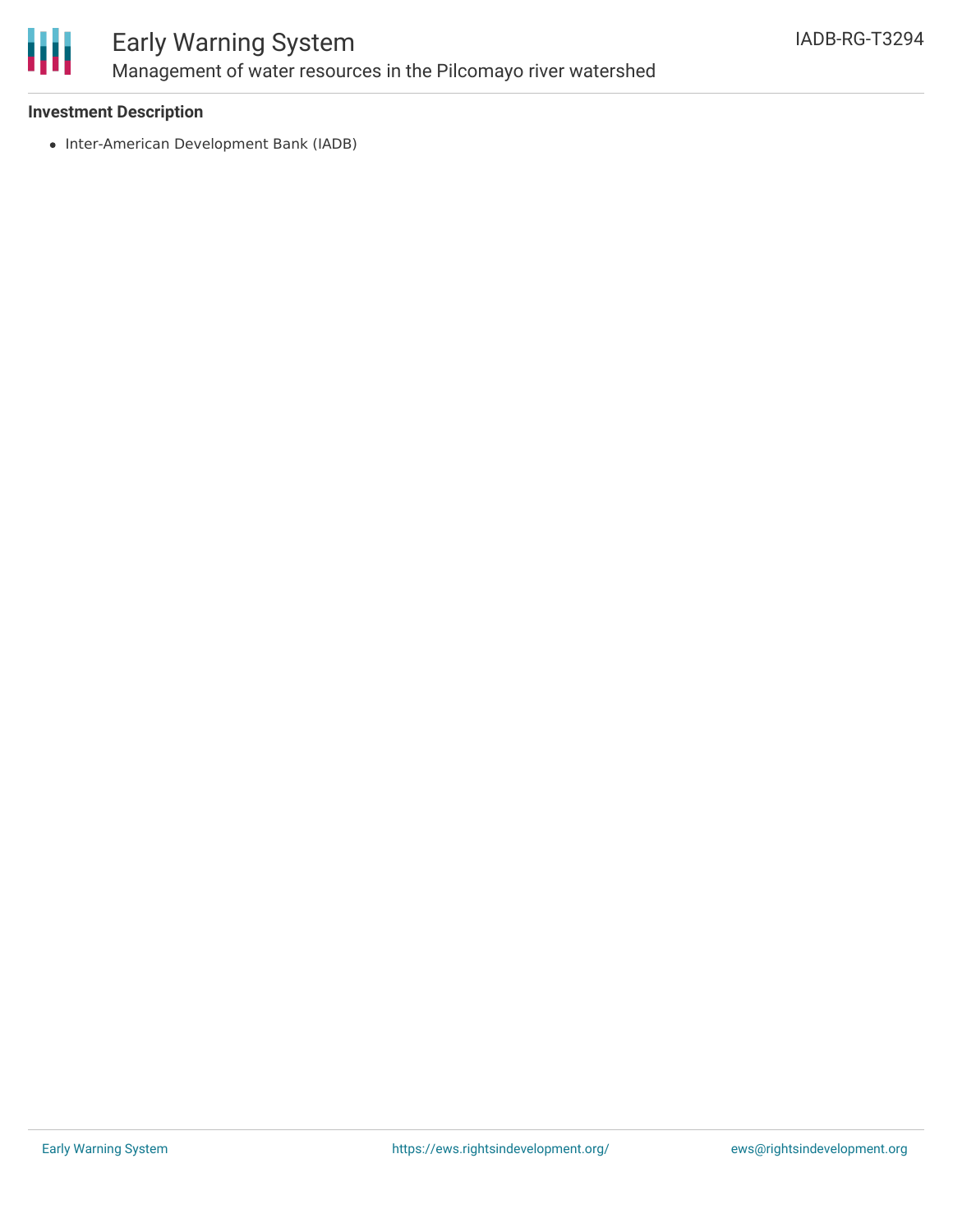

## Early Warning System Management of water resources in the Pilcomayo river watershed

#### **Investment Description**

• Inter-American Development Bank (IADB)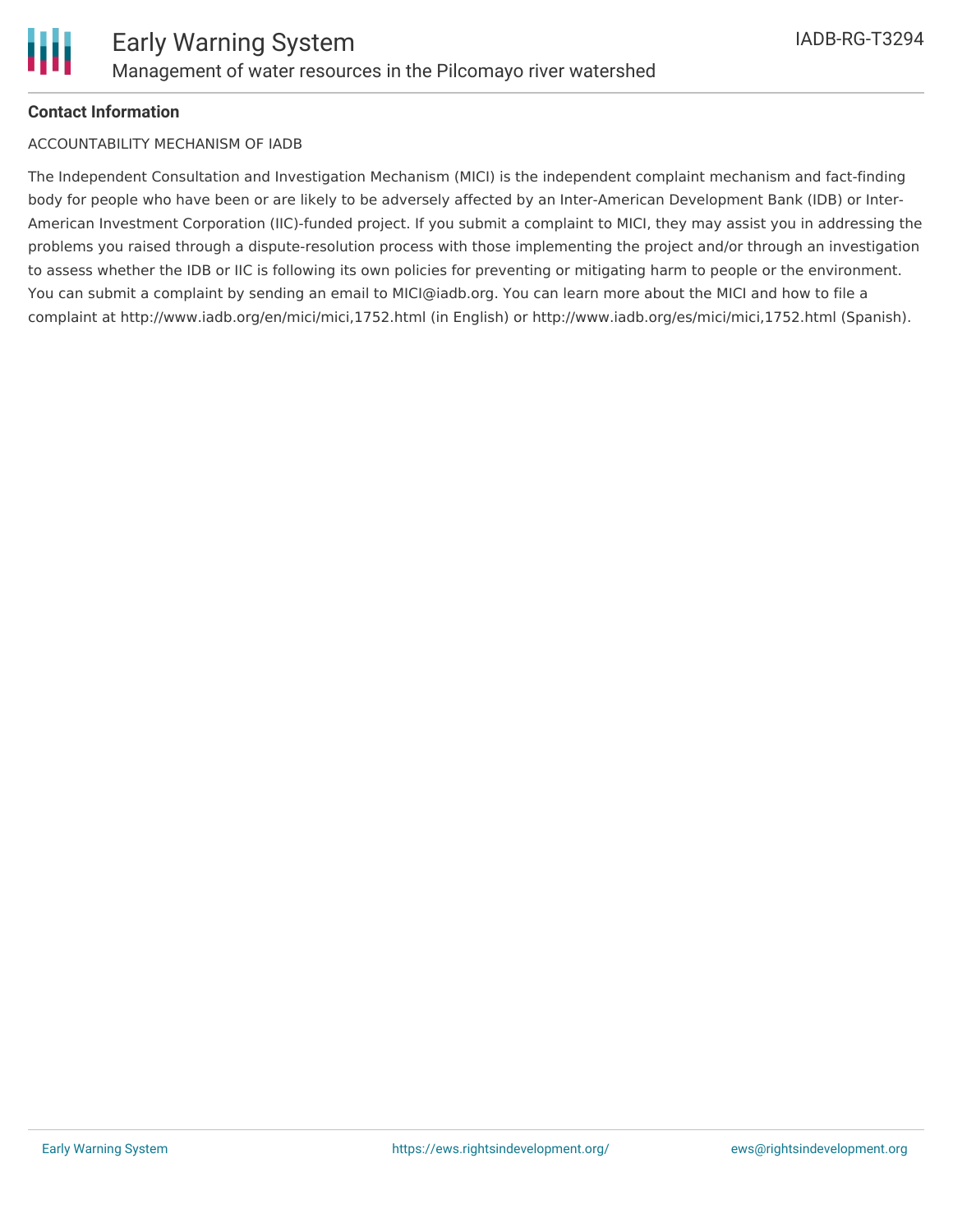#### **Contact Information**

#### ACCOUNTABILITY MECHANISM OF IADB

The Independent Consultation and Investigation Mechanism (MICI) is the independent complaint mechanism and fact-finding body for people who have been or are likely to be adversely affected by an Inter-American Development Bank (IDB) or Inter-American Investment Corporation (IIC)-funded project. If you submit a complaint to MICI, they may assist you in addressing the problems you raised through a dispute-resolution process with those implementing the project and/or through an investigation to assess whether the IDB or IIC is following its own policies for preventing or mitigating harm to people or the environment. You can submit a complaint by sending an email to MICI@iadb.org. You can learn more about the MICI and how to file a complaint at http://www.iadb.org/en/mici/mici,1752.html (in English) or http://www.iadb.org/es/mici/mici,1752.html (Spanish).